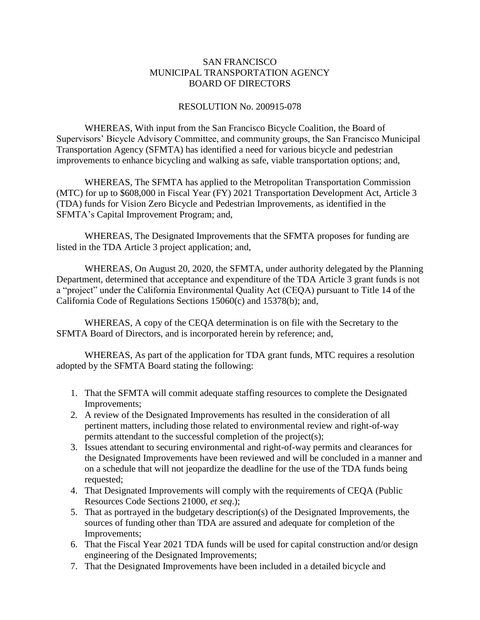## SAN FRANCISCO MUNICIPAL TRANSPORTATION AGENCY BOARD OF DIRECTORS

## RESOLUTION No. 200915-078

WHEREAS, With input from the San Francisco Bicycle Coalition, the Board of Supervisors' Bicycle Advisory Committee, and community groups, the San Francisco Municipal Transportation Agency (SFMTA) has identified a need for various bicycle and pedestrian improvements to enhance bicycling and walking as safe, viable transportation options; and,

WHEREAS, The SFMTA has applied to the Metropolitan Transportation Commission (MTC) for up to \$608,000 in Fiscal Year (FY) 2021 Transportation Development Act, Article 3 (TDA) funds for Vision Zero Bicycle and Pedestrian Improvements, as identified in the SFMTA's Capital Improvement Program; and,

WHEREAS, The Designated Improvements that the SFMTA proposes for funding are listed in the TDA Article 3 project application; and,

WHEREAS, On August 20, 2020, the SFMTA, under authority delegated by the Planning Department, determined that acceptance and expenditure of the TDA Article 3 grant funds is not a "project" under the California Environmental Quality Act (CEQA) pursuant to Title 14 of the California Code of Regulations Sections 15060(c) and 15378(b); and,

WHEREAS, A copy of the CEQA determination is on file with the Secretary to the SFMTA Board of Directors, and is incorporated herein by reference; and,

WHEREAS, As part of the application for TDA grant funds, MTC requires a resolution adopted by the SFMTA Board stating the following:

- 1. That the SFMTA will commit adequate staffing resources to complete the Designated Improvements;
- 2. A review of the Designated Improvements has resulted in the consideration of all pertinent matters, including those related to environmental review and right-of-way permits attendant to the successful completion of the project(s);
- 3. Issues attendant to securing environmental and right-of-way permits and clearances for the Designated Improvements have been reviewed and will be concluded in a manner and on a schedule that will not jeopardize the deadline for the use of the TDA funds being requested;
- 4. That Designated Improvements will comply with the requirements of CEQA (Public Resources Code Sections 21000, *et seq*.);
- 5. That as portrayed in the budgetary description(s) of the Designated Improvements, the sources of funding other than TDA are assured and adequate for completion of the Improvements;
- 6. That the Fiscal Year 2021 TDA funds will be used for capital construction and/or design engineering of the Designated Improvements;
- 7. That the Designated Improvements have been included in a detailed bicycle and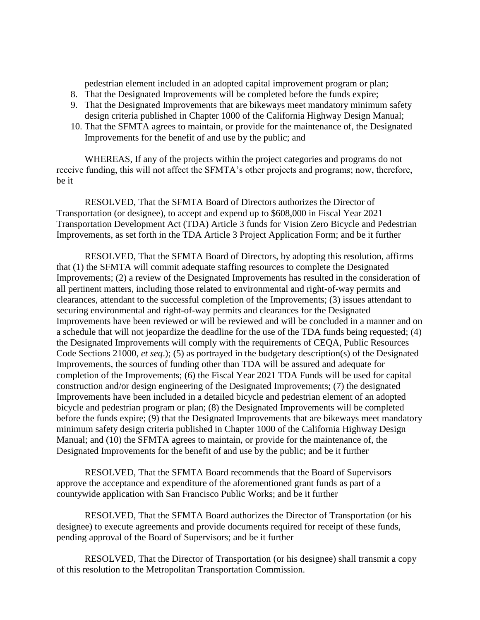pedestrian element included in an adopted capital improvement program or plan;

- 8. That the Designated Improvements will be completed before the funds expire;
- 9. That the Designated Improvements that are bikeways meet mandatory minimum safety design criteria published in Chapter 1000 of the California Highway Design Manual;
- 10. That the SFMTA agrees to maintain, or provide for the maintenance of, the Designated Improvements for the benefit of and use by the public; and

WHEREAS, If any of the projects within the project categories and programs do not receive funding, this will not affect the SFMTA's other projects and programs; now, therefore, be it

RESOLVED, That the SFMTA Board of Directors authorizes the Director of Transportation (or designee), to accept and expend up to \$608,000 in Fiscal Year 2021 Transportation Development Act (TDA) Article 3 funds for Vision Zero Bicycle and Pedestrian Improvements, as set forth in the TDA Article 3 Project Application Form; and be it further

RESOLVED, That the SFMTA Board of Directors, by adopting this resolution, affirms that (1) the SFMTA will commit adequate staffing resources to complete the Designated Improvements; (2) a review of the Designated Improvements has resulted in the consideration of all pertinent matters, including those related to environmental and right-of-way permits and clearances, attendant to the successful completion of the Improvements; (3) issues attendant to securing environmental and right-of-way permits and clearances for the Designated Improvements have been reviewed or will be reviewed and will be concluded in a manner and on a schedule that will not jeopardize the deadline for the use of the TDA funds being requested; (4) the Designated Improvements will comply with the requirements of CEQA, Public Resources Code Sections 21000, *et seq*.); (5) as portrayed in the budgetary description(s) of the Designated Improvements, the sources of funding other than TDA will be assured and adequate for completion of the Improvements; (6) the Fiscal Year 2021 TDA Funds will be used for capital construction and/or design engineering of the Designated Improvements; (7) the designated Improvements have been included in a detailed bicycle and pedestrian element of an adopted bicycle and pedestrian program or plan; (8) the Designated Improvements will be completed before the funds expire; (9) that the Designated Improvements that are bikeways meet mandatory minimum safety design criteria published in Chapter 1000 of the California Highway Design Manual; and (10) the SFMTA agrees to maintain, or provide for the maintenance of, the Designated Improvements for the benefit of and use by the public; and be it further

RESOLVED, That the SFMTA Board recommends that the Board of Supervisors approve the acceptance and expenditure of the aforementioned grant funds as part of a countywide application with San Francisco Public Works; and be it further

RESOLVED, That the SFMTA Board authorizes the Director of Transportation (or his designee) to execute agreements and provide documents required for receipt of these funds, pending approval of the Board of Supervisors; and be it further

RESOLVED, That the Director of Transportation (or his designee) shall transmit a copy of this resolution to the Metropolitan Transportation Commission.